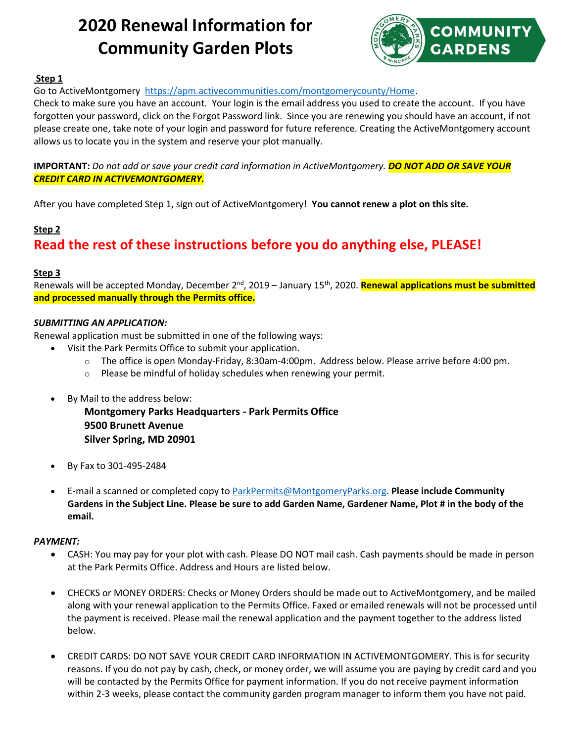# **2020 Renewal Information for Community Garden Plots**



### **Step 1**

Go to ActiveMontgomery [https://apm.activecommunities.com/montgomerycounty/Home.](https://apm.activecommunities.com/montgomerycounty/Home)

Check to make sure you have an account. Your login is the email address you used to create the account. If you have forgotten your password, click on the Forgot Password link. Since you are renewing you should have an account, if not please create one, take note of your login and password for future reference. Creating the ActiveMontgomery account allows us to locate you in the system and reserve your plot manually.

**IMPORTANT:** *Do not add or save your credit card information in ActiveMontgomery. DO NOT ADD OR SAVE YOUR CREDIT CARD IN ACTIVEMONTGOMERY.*

After you have completed Step 1, sign out of ActiveMontgomery! **You cannot renew a plot on this site.**

### **Step 2**

### **Read the rest of these instructions before you do anything else, PLEASE!**

### **Step 3**

Renewals will be accepted Monday, December 2<sup>nd</sup>, 2019 – January 15<sup>th</sup>, 2020. <mark>Renewal applications must be submitted</mark> **and processed manually through the Permits office.**

### *SUBMITTING AN APPLICATION:*

Renewal application must be submitted in one of the following ways:

- Visit the Park Permits Office to submit your application.
	- o The office is open Monday-Friday, 8:30am-4:00pm. Address below. Please arrive before 4:00 pm.
	- $\circ$  Please be mindful of holiday schedules when renewing your permit.
- By Mail to the address below:

**Montgomery Parks Headquarters - Park Permits Office 9500 Brunett Avenue Silver Spring, MD 20901**

- By Fax to 301-495-2484
- E-mail a scanned or completed copy to [ParkPermits@MontgomeryParks.org.](mailto:ParkPermits@MontgomeryParks.org) **Please include Community Gardens in the Subject Line. Please be sure to add Garden Name, Gardener Name, Plot # in the body of the email.**

### *PAYMENT:*

- CASH: You may pay for your plot with cash. Please DO NOT mail cash. Cash payments should be made in person at the Park Permits Office. Address and Hours are listed below.
- CHECKS or MONEY ORDERS: Checks or Money Orders should be made out to ActiveMontgomery, and be mailed along with your renewal application to the Permits Office. Faxed or emailed renewals will not be processed until the payment is received. Please mail the renewal application and the payment together to the address listed below.
- CREDIT CARDS: DO NOT SAVE YOUR CREDIT CARD INFORMATION IN ACTIVEMONTGOMERY. This is for security reasons. If you do not pay by cash, check, or money order, we will assume you are paying by credit card and you will be contacted by the Permits Office for payment information. If you do not receive payment information within 2-3 weeks, please contact the community garden program manager to inform them you have not paid.